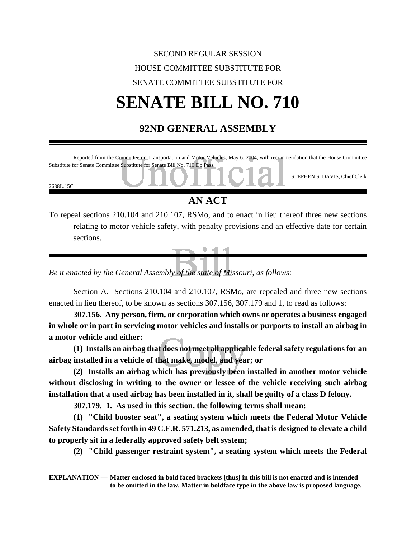## SECOND REGULAR SESSION HOUSE COMMITTEE SUBSTITUTE FOR SENATE COMMITTEE SUBSTITUTE FOR **SENATE BILL NO. 710**

## **92ND GENERAL ASSEMBLY**



*Be it enacted by the General Assembly of the state of Missouri, as follows:*

Section A. Sections 210.104 and 210.107, RSMo, are repealed and three new sections enacted in lieu thereof, to be known as sections 307.156, 307.179 and 1, to read as follows:

**307.156. Any person, firm, or corporation which owns or operates a business engaged in whole or in part in servicing motor vehicles and installs or purports to install an airbag in a motor vehicle and either:**

**(1) Installs an airbag that does not meet all applicable federal safety regulations for an airbag installed in a vehicle of that make, model, and year; or**

**(2) Installs an airbag which has previously been installed in another motor vehicle without disclosing in writing to the owner or lessee of the vehicle receiving such airbag installation that a used airbag has been installed in it, shall be guilty of a class D felony.**

**307.179. 1. As used in this section, the following terms shall mean:**

**(1) "Child booster seat", a seating system which meets the Federal Motor Vehicle Safety Standards set forth in 49 C.F.R. 571.213, as amended, that is designed to elevate a child to properly sit in a federally approved safety belt system;**

**(2) "Child passenger restraint system", a seating system which meets the Federal**

**EXPLANATION — Matter enclosed in bold faced brackets [thus] in this bill is not enacted and is intended to be omitted in the law. Matter in boldface type in the above law is proposed language.**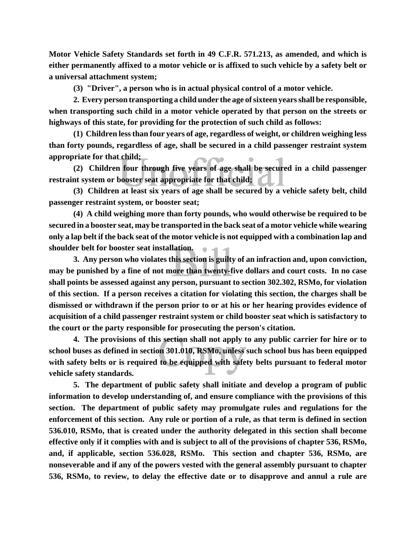**Motor Vehicle Safety Standards set forth in 49 C.F.R. 571.213, as amended, and which is either permanently affixed to a motor vehicle or is affixed to such vehicle by a safety belt or a universal attachment system;**

**(3) "Driver", a person who is in actual physical control of a motor vehicle.**

**2. Every person transporting a child under the age of sixteen years shall be responsible, when transporting such child in a motor vehicle operated by that person on the streets or highways of this state, for providing for the protection of such child as follows:**

**(1) Children less than four years of age, regardless of weight, or children weighing less than forty pounds, regardless of age, shall be secured in a child passenger restraint system appropriate for that child;**

**(2) Children four through five years of age shall be secured in a child passenger restraint system or booster seat appropriate for that child;**

**(3) Children at least six years of age shall be secured by a vehicle safety belt, child passenger restraint system, or booster seat;**

**(4) A child weighing more than forty pounds, who would otherwise be required to be secured in a booster seat, may be transported in the back seat of a motor vehicle while wearing only a lap belt if the back seat of the motor vehicle is not equipped with a combination lap and shoulder belt for booster seat installation.** 9. AL AL

**3. Any person who violates this section is guilty of an infraction and, upon conviction, may be punished by a fine of not more than twenty-five dollars and court costs. In no case shall points be assessed against any person, pursuant to section 302.302, RSMo, for violation of this section. If a person receives a citation for violating this section, the charges shall be dismissed or withdrawn if the person prior to or at his or her hearing provides evidence of acquisition of a child passenger restraint system or child booster seat which is satisfactory to the court or the party responsible for prosecuting the person's citation.**

**4. The provisions of this section shall not apply to any public carrier for hire or to school buses as defined in section 301.010, RSMo, unless such school bus has been equipped with safety belts or is required to be equipped with safety belts pursuant to federal motor vehicle safety standards.**

**5. The department of public safety shall initiate and develop a program of public information to develop understanding of, and ensure compliance with the provisions of this section. The department of public safety may promulgate rules and regulations for the enforcement of this section. Any rule or portion of a rule, as that term is defined in section 536.010, RSMo, that is created under the authority delegated in this section shall become effective only if it complies with and is subject to all of the provisions of chapter 536, RSMo, and, if applicable, section 536.028, RSMo. This section and chapter 536, RSMo, are nonseverable and if any of the powers vested with the general assembly pursuant to chapter 536, RSMo, to review, to delay the effective date or to disapprove and annul a rule are**